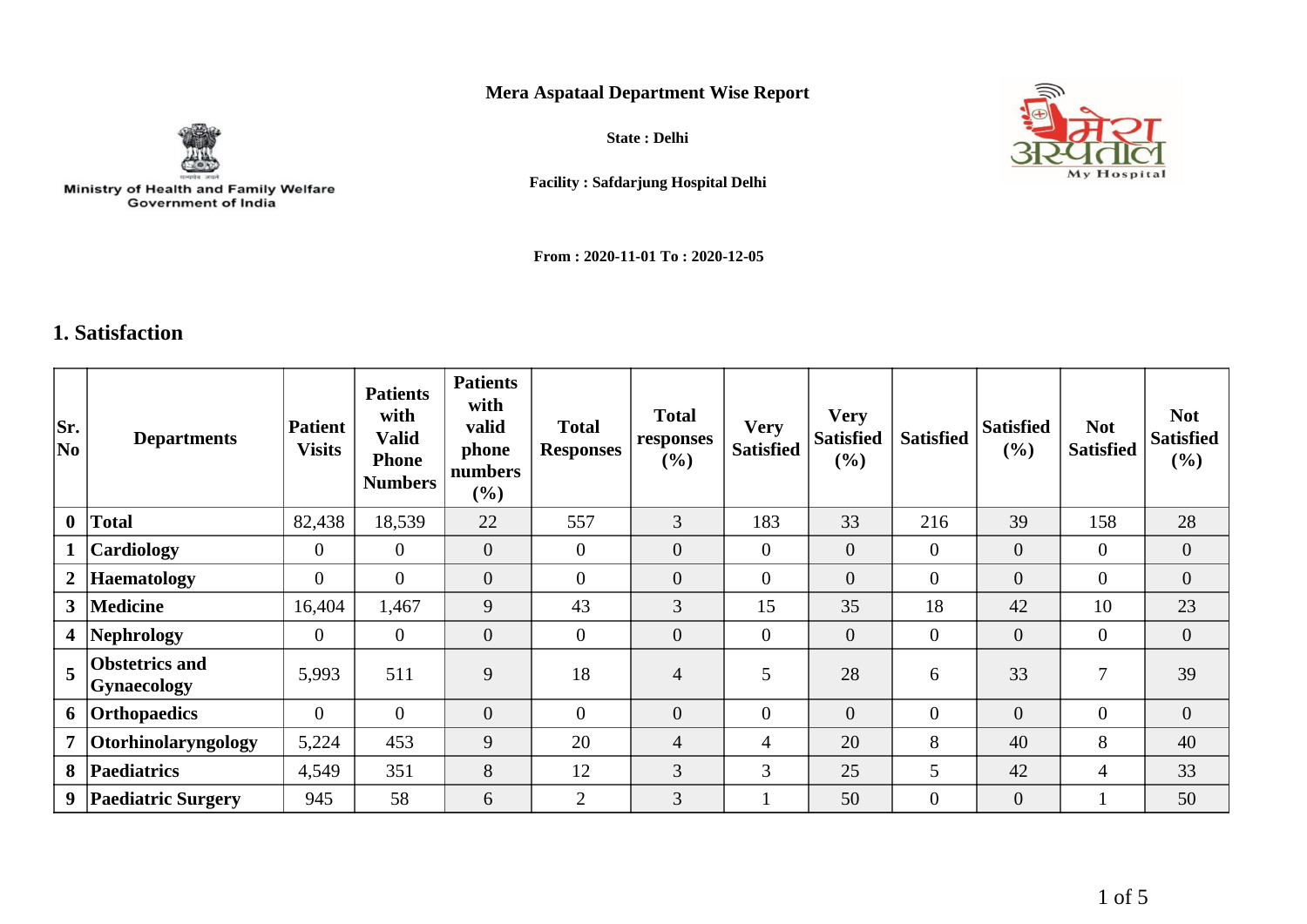## **Mera Aspataal Department Wise Report**



Ministry of Health and Family Welfare<br>Government of India

**State : Delhi**



**Facility : Safdarjung Hospital Delhi**

**From : 2020-11-01 To : 2020-12-05**

## **1. Satisfaction**

| Sr.<br>No               | <b>Departments</b>                          | <b>Patient</b><br><b>Visits</b> | <b>Patients</b><br>with<br><b>Valid</b><br><b>Phone</b><br><b>Numbers</b> | <b>Patients</b><br>with<br>valid<br>phone<br>numbers<br>$(\%)$ | <b>Total</b><br><b>Responses</b> | <b>Total</b><br>responses<br>$(\%)$ | <b>Very</b><br><b>Satisfied</b> | <b>Very</b><br><b>Satisfied</b><br>(%) | <b>Satisfied</b> | <b>Satisfied</b><br>$(\%)$ | <b>Not</b><br><b>Satisfied</b> | <b>Not</b><br><b>Satisfied</b><br>$(\%)$ |
|-------------------------|---------------------------------------------|---------------------------------|---------------------------------------------------------------------------|----------------------------------------------------------------|----------------------------------|-------------------------------------|---------------------------------|----------------------------------------|------------------|----------------------------|--------------------------------|------------------------------------------|
| $\mathbf{0}$            | <b>Total</b>                                | 82,438                          | 18,539                                                                    | 22                                                             | 557                              | 3                                   | 183                             | 33                                     | 216              | 39                         | 158                            | 28                                       |
|                         | Cardiology                                  | $\overline{0}$                  | $\Omega$                                                                  | $\overline{0}$                                                 | $\overline{0}$                   | $\overline{0}$                      | $\overline{0}$                  | $\mathbf{0}$                           | $\overline{0}$   | $\overline{0}$             | $\theta$                       | $\overline{0}$                           |
| 2 <sup>1</sup>          | <b>Haematology</b>                          | $\overline{0}$                  | $\overline{0}$                                                            | $\overline{0}$                                                 | $\overline{0}$                   | $\overline{0}$                      | $\overline{0}$                  | $\overline{0}$                         | $\overline{0}$   | $\overline{0}$             | $\overline{0}$                 | $\overline{0}$                           |
| 3 <sup>1</sup>          | <b>Medicine</b>                             | 16,404                          | 1,467                                                                     | 9                                                              | 43                               | 3                                   | 15                              | 35                                     | 18               | 42                         | 10                             | 23                                       |
| $\overline{\mathbf{4}}$ | Nephrology                                  | $\overline{0}$                  | $\theta$                                                                  | $\overline{0}$                                                 | $\overline{0}$                   | $\overline{0}$                      | $\overline{0}$                  | $\mathbf{0}$                           | $\overline{0}$   | $\overline{0}$             | $\overline{0}$                 | $\overline{0}$                           |
| 5                       | <b>Obstetrics and</b><br><b>Gynaecology</b> | 5,993                           | 511                                                                       | 9                                                              | 18                               | $\overline{4}$                      | 5                               | 28                                     | 6                | 33                         | $\overline{7}$                 | 39                                       |
| 6                       | Orthopaedics                                | $\theta$                        | $\Omega$                                                                  | $\mathbf{0}$                                                   | $\theta$                         | $\overline{0}$                      | $\overline{0}$                  | $\overline{0}$                         | $\boldsymbol{0}$ | $\overline{0}$             | $\overline{0}$                 | $\overline{0}$                           |
| $\overline{7}$          | Otorhinolaryngology                         | 5,224                           | 453                                                                       | 9                                                              | 20                               | $\overline{4}$                      | 4                               | 20                                     | 8                | 40                         | 8                              | 40                                       |
| 8                       | <b>Paediatrics</b>                          | 4,549                           | 351                                                                       | 8                                                              | 12                               | 3                                   | 3                               | 25                                     | 5                | 42                         | $\overline{4}$                 | 33                                       |
| 9                       | <b>Paediatric Surgery</b>                   | 945                             | 58                                                                        | 6                                                              | $\overline{2}$                   | 3                                   | -1                              | 50                                     | $\overline{0}$   | $\overline{0}$             |                                | 50                                       |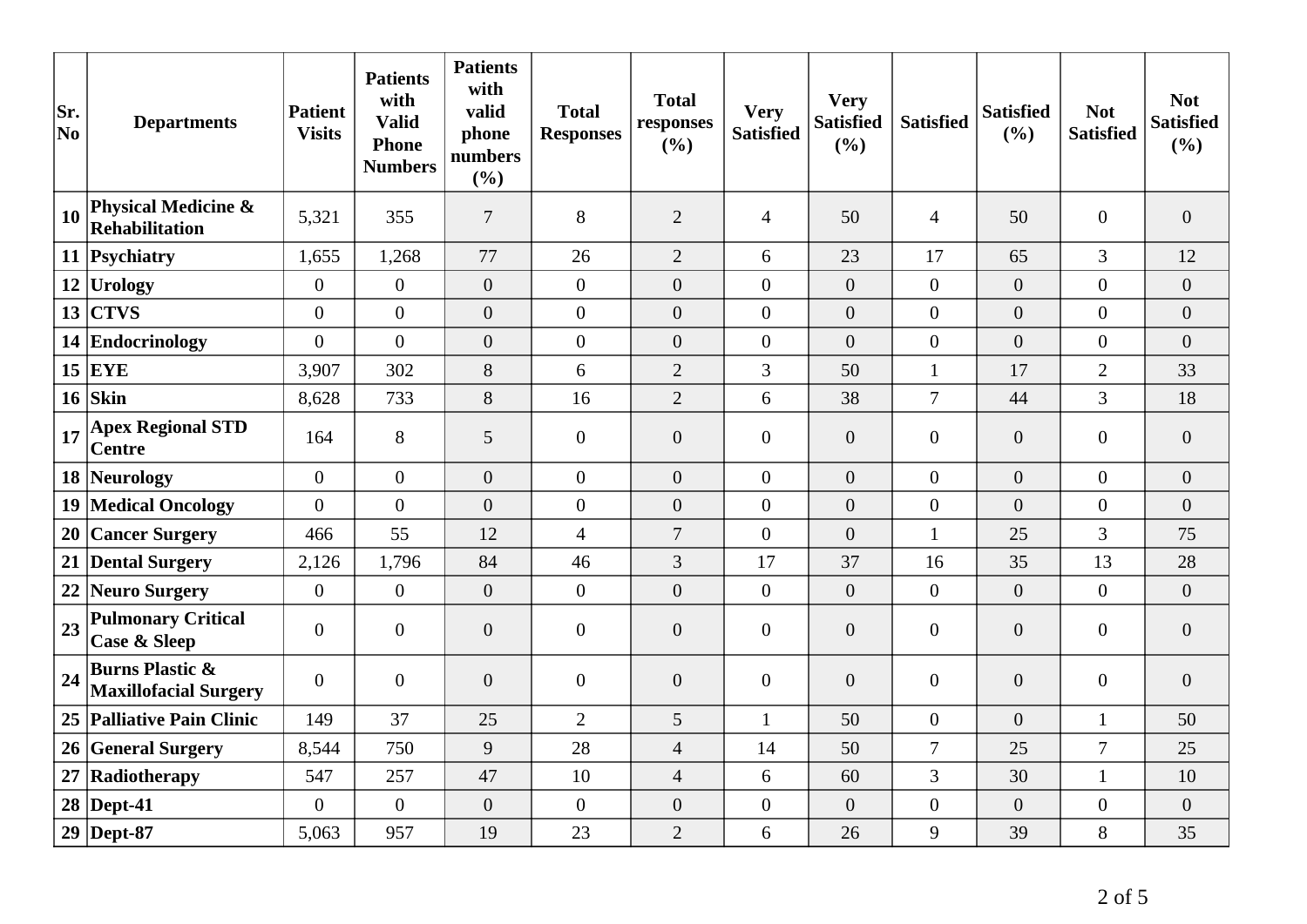| Sr.<br>$ N_{0} $ | <b>Departments</b>                                         | <b>Patient</b><br><b>Visits</b> | <b>Patients</b><br>with<br><b>Valid</b><br><b>Phone</b><br><b>Numbers</b> | <b>Patients</b><br>with<br>valid<br>phone<br>numbers<br>(%) | <b>Total</b><br><b>Responses</b> | <b>Total</b><br>responses<br>(%) | <b>Very</b><br><b>Satisfied</b> | <b>Very</b><br><b>Satisfied</b><br>(%) | <b>Satisfied</b> | <b>Satisfied</b><br>(%) | <b>Not</b><br><b>Satisfied</b> | <b>Not</b><br><b>Satisfied</b><br>(%) |
|------------------|------------------------------------------------------------|---------------------------------|---------------------------------------------------------------------------|-------------------------------------------------------------|----------------------------------|----------------------------------|---------------------------------|----------------------------------------|------------------|-------------------------|--------------------------------|---------------------------------------|
| 10               | <b>Physical Medicine &amp;</b><br>Rehabilitation           | 5,321                           | 355                                                                       | $\tau$                                                      | 8                                | $\overline{2}$                   | $\overline{4}$                  | 50                                     | $\overline{4}$   | 50                      | $\overline{0}$                 | $\overline{0}$                        |
|                  | 11 Psychiatry                                              | 1,655                           | 1,268                                                                     | 77                                                          | 26                               | $\overline{2}$                   | 6                               | 23                                     | 17               | 65                      | 3                              | 12                                    |
|                  | $12$ Urology                                               | $\overline{0}$                  | $\boldsymbol{0}$                                                          | $\overline{0}$                                              | $\boldsymbol{0}$                 | $\overline{0}$                   | $\mathbf{0}$                    | $\boldsymbol{0}$                       | $\overline{0}$   | $\overline{0}$          | $\overline{0}$                 | $\overline{0}$                        |
| 13               | <b>CTVS</b>                                                | $\overline{0}$                  | $\overline{0}$                                                            | $\overline{0}$                                              | $\overline{0}$                   | $\overline{0}$                   | $\boldsymbol{0}$                | $\overline{0}$                         | $\overline{0}$   | $\overline{0}$          | $\overline{0}$                 | $\overline{0}$                        |
|                  | 14 Endocrinology                                           | $\overline{0}$                  | $\overline{0}$                                                            | $\overline{0}$                                              | $\overline{0}$                   | $\overline{0}$                   | $\overline{0}$                  | $\overline{0}$                         | $\overline{0}$   | $\overline{0}$          | $\overline{0}$                 | $\overline{0}$                        |
|                  | $15$ EYE                                                   | 3,907                           | 302                                                                       | 8                                                           | 6                                | $\overline{2}$                   | 3                               | 50                                     | $\mathbf{1}$     | 17                      | $\overline{2}$                 | 33                                    |
|                  | $16$ Skin                                                  | 8,628                           | 733                                                                       | 8                                                           | 16                               | $\overline{2}$                   | 6                               | 38                                     | $\overline{7}$   | 44                      | 3                              | 18                                    |
| 17               | <b>Apex Regional STD</b><br><b>Centre</b>                  | 164                             | 8                                                                         | 5                                                           | $\overline{0}$                   | $\mathbf{0}$                     | $\overline{0}$                  | $\boldsymbol{0}$                       | $\overline{0}$   | $\overline{0}$          | $\boldsymbol{0}$               | $\boldsymbol{0}$                      |
|                  | 18 Neurology                                               | $\overline{0}$                  | $\overline{0}$                                                            | $\overline{0}$                                              | $\mathbf{0}$                     | $\overline{0}$                   | $\overline{0}$                  | $\overline{0}$                         | $\overline{0}$   | $\overline{0}$          | $\overline{0}$                 | $\overline{0}$                        |
| 19               | <b>Medical Oncology</b>                                    | $\overline{0}$                  | $\boldsymbol{0}$                                                          | $\overline{0}$                                              | $\overline{0}$                   | $\overline{0}$                   | $\overline{0}$                  | $\overline{0}$                         | $\boldsymbol{0}$ | $\overline{0}$          | $\overline{0}$                 | $\overline{0}$                        |
| 20               | <b>Cancer Surgery</b>                                      | 466                             | 55                                                                        | 12                                                          | $\overline{4}$                   | $\overline{7}$                   | $\overline{0}$                  | $\boldsymbol{0}$                       | $\mathbf{1}$     | 25                      | 3                              | 75                                    |
|                  | 21 Dental Surgery                                          | 2,126                           | 1,796                                                                     | 84                                                          | 46                               | 3                                | 17                              | 37                                     | 16               | 35                      | 13                             | 28                                    |
| 22               | Neuro Surgery                                              | $\overline{0}$                  | $\boldsymbol{0}$                                                          | $\overline{0}$                                              | $\boldsymbol{0}$                 | $\overline{0}$                   | $\mathbf{0}$                    | $\overline{0}$                         | $\boldsymbol{0}$ | $\boldsymbol{0}$        | $\Omega$                       | $\overline{0}$                        |
| 23               | <b>Pulmonary Critical</b><br><b>Case &amp; Sleep</b>       | $\mathbf{0}$                    | $\overline{0}$                                                            | $\overline{0}$                                              | $\overline{0}$                   | $\mathbf{0}$                     | $\overline{0}$                  | $\overline{0}$                         | $\overline{0}$   | $\overline{0}$          | $\overline{0}$                 | $\overline{0}$                        |
| 24               | <b>Burns Plastic &amp;</b><br><b>Maxillofacial Surgery</b> | $\overline{0}$                  | $\boldsymbol{0}$                                                          | $\overline{0}$                                              | $\overline{0}$                   | $\mathbf{0}$                     | $\overline{0}$                  | $\overline{0}$                         | $\overline{0}$   | $\boldsymbol{0}$        | $\boldsymbol{0}$               | $\overline{0}$                        |
|                  | 25 Palliative Pain Clinic                                  | 149                             | 37                                                                        | 25                                                          | $\overline{2}$                   | 5                                | $\mathbf{1}$                    | 50                                     | $\overline{0}$   | $\overline{0}$          | $\mathbf{1}$                   | 50                                    |
|                  | 26 General Surgery                                         | 8,544                           | 750                                                                       | 9                                                           | 28                               | $\overline{4}$                   | 14                              | 50                                     | $\tau$           | 25                      | $\overline{7}$                 | 25                                    |
| 27               | Radiotherapy                                               | 547                             | 257                                                                       | 47                                                          | 10                               | $\overline{4}$                   | 6                               | 60                                     | 3                | 30                      | $\mathbf{1}$                   | 10                                    |
|                  | $28$ Dept-41                                               | $\overline{0}$                  | $\boldsymbol{0}$                                                          | $\boldsymbol{0}$                                            | $\overline{0}$                   | $\boldsymbol{0}$                 | $\boldsymbol{0}$                | $\boldsymbol{0}$                       | $\boldsymbol{0}$ | $\overline{0}$          | $\boldsymbol{0}$               | $\boldsymbol{0}$                      |
|                  | $29$ Dept-87                                               | 5,063                           | 957                                                                       | 19                                                          | 23                               | $\overline{2}$                   | 6                               | 26                                     | 9                | 39                      | 8                              | 35                                    |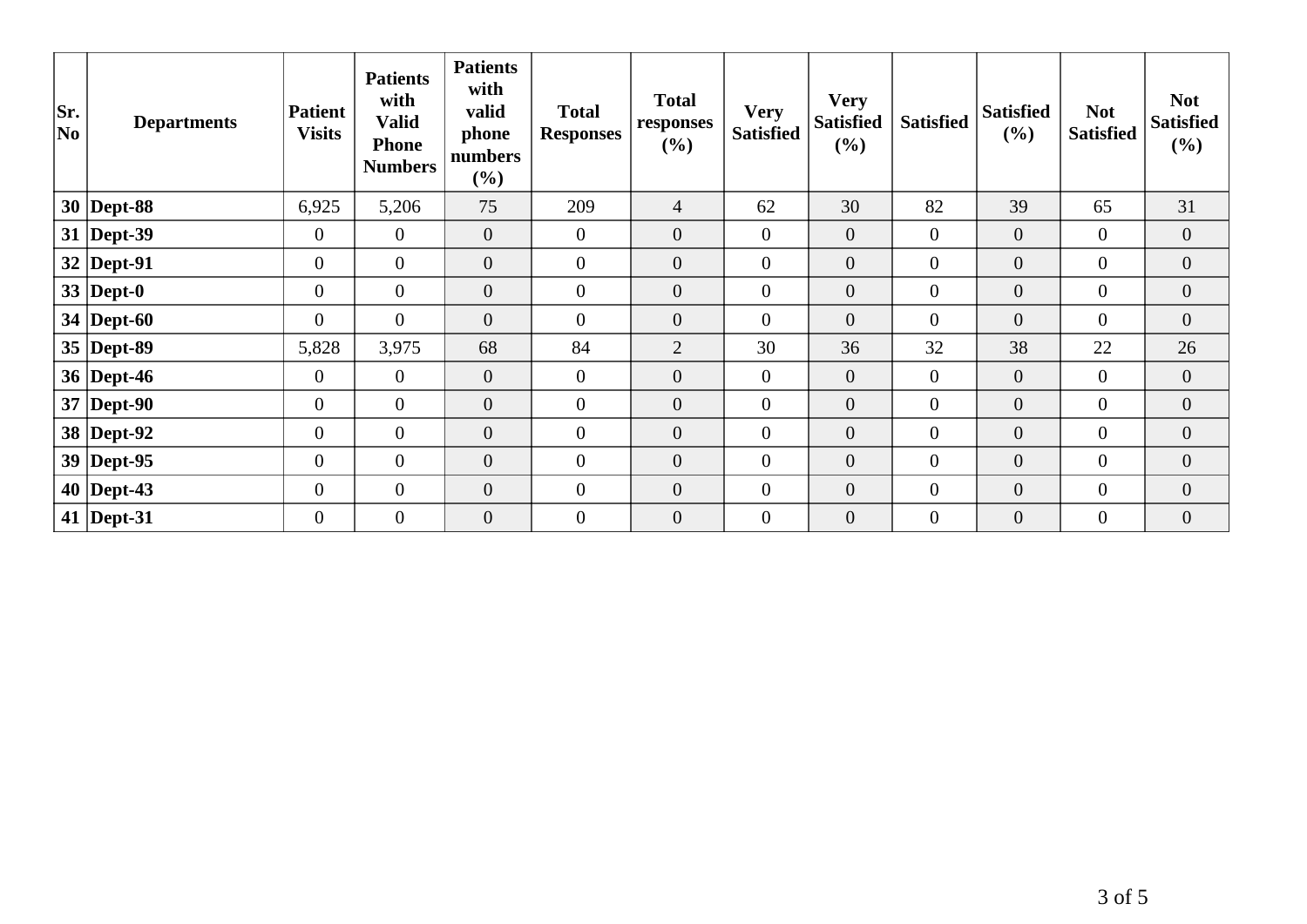| Sr.<br> No | <b>Departments</b> | <b>Patient</b><br><b>Visits</b> | <b>Patients</b><br>with<br><b>Valid</b><br><b>Phone</b><br><b>Numbers</b> | <b>Patients</b><br>with<br>valid<br>phone<br>numbers<br>(%) | <b>Total</b><br><b>Responses</b> | <b>Total</b><br>responses<br>(%) | <b>Very</b><br><b>Satisfied</b> | <b>Very</b><br><b>Satisfied</b><br>(%) | <b>Satisfied</b> | <b>Satisfied</b><br>(%) | <b>Not</b><br><b>Satisfied</b> | <b>Not</b><br><b>Satisfied</b><br>$(\%)$ |
|------------|--------------------|---------------------------------|---------------------------------------------------------------------------|-------------------------------------------------------------|----------------------------------|----------------------------------|---------------------------------|----------------------------------------|------------------|-------------------------|--------------------------------|------------------------------------------|
|            | $30$ Dept-88       | 6,925                           | 5,206                                                                     | 75                                                          | 209                              | $\overline{4}$                   | 62                              | 30                                     | 82               | 39                      | 65                             | 31                                       |
|            | $31$ Dept-39       | $\mathbf{0}$                    | $\overline{0}$                                                            | $\overline{0}$                                              | $\overline{0}$                   | $\overline{0}$                   | $\overline{0}$                  | $\mathbf{0}$                           | $\overline{0}$   | $\overline{0}$          | $\overline{0}$                 | $\overline{0}$                           |
|            | $32$ Dept-91       | $\overline{0}$                  | $\overline{0}$                                                            | $\overline{0}$                                              | $\overline{0}$                   | $\overline{0}$                   | $\overline{0}$                  | $\overline{0}$                         | $\overline{0}$   | $\boldsymbol{0}$        | $\overline{0}$                 | $\overline{0}$                           |
|            | 33   Dept-0        | $\boldsymbol{0}$                | $\overline{0}$                                                            | $\overline{0}$                                              | $\overline{0}$                   | $\overline{0}$                   | $\mathbf{0}$                    | $\boldsymbol{0}$                       | $\overline{0}$   | $\overline{0}$          | $\overline{0}$                 | $\overline{0}$                           |
|            | 34   Dept-60       | $\overline{0}$                  | $\overline{0}$                                                            | $\mathbf{0}$                                                | $\mathbf{0}$                     | $\boldsymbol{0}$                 | $\boldsymbol{0}$                | $\boldsymbol{0}$                       | $\overline{0}$   | $\boldsymbol{0}$        | $\overline{0}$                 | $\overline{0}$                           |
|            | 35   Dept-89       | 5,828                           | 3,975                                                                     | 68                                                          | 84                               | $\overline{2}$                   | 30                              | 36                                     | 32               | 38                      | 22                             | 26                                       |
|            | 36   Dept-46       | $\overline{0}$                  | $\overline{0}$                                                            | $\mathbf{0}$                                                | $\overline{0}$                   | $\overline{0}$                   | $\overline{0}$                  | $\overline{0}$                         | $\overline{0}$   | $\overline{0}$          | $\overline{0}$                 | $\overline{0}$                           |
|            | $37$ Dept-90       | $\overline{0}$                  | $\overline{0}$                                                            | $\theta$                                                    | $\mathbf{0}$                     | $\overline{0}$                   | $\mathbf{0}$                    | $\mathbf{0}$                           | $\overline{0}$   | $\overline{0}$          | $\overline{0}$                 | $\overline{0}$                           |
|            | 38 Dept-92         | $\boldsymbol{0}$                | $\overline{0}$                                                            | $\boldsymbol{0}$                                            | $\overline{0}$                   | $\boldsymbol{0}$                 | $\boldsymbol{0}$                | $\boldsymbol{0}$                       | $\overline{0}$   | $\boldsymbol{0}$        | $\boldsymbol{0}$               | $\overline{0}$                           |
|            | $39$ Dept-95       | $\mathbf{0}$                    | $\overline{0}$                                                            | $\mathbf{0}$                                                | $\mathbf{0}$                     | $\overline{0}$                   | $\mathbf{0}$                    | $\boldsymbol{0}$                       | $\overline{0}$   | $\boldsymbol{0}$        | $\overline{0}$                 | $\boldsymbol{0}$                         |
|            | $40$ Dept-43       | $\mathbf{0}$                    | $\boldsymbol{0}$                                                          | $\overline{0}$                                              | $\mathbf{0}$                     | $\overline{0}$                   | $\mathbf{0}$                    | $\overline{0}$                         | $\overline{0}$   | $\boldsymbol{0}$        | $\overline{0}$                 | $\overline{0}$                           |
|            | 41   Dept-31       | $\overline{0}$                  | $\overline{0}$                                                            | $\overline{0}$                                              | $\overline{0}$                   | $\overline{0}$                   | $\mathbf{0}$                    | $\overline{0}$                         | $\overline{0}$   | $\overline{0}$          | $\overline{0}$                 | $\overline{0}$                           |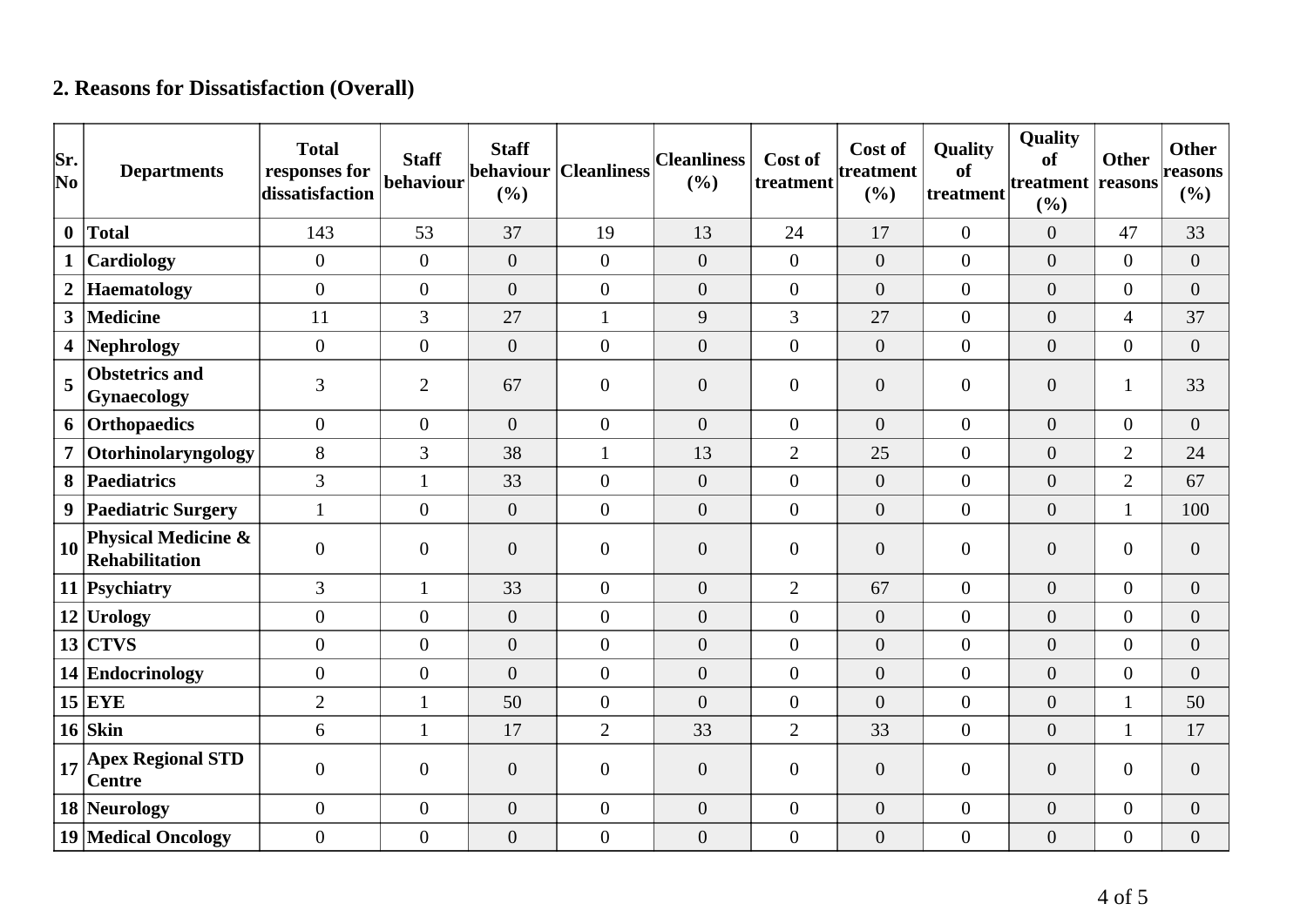## **2. Reasons for Dissatisfaction (Overall)**

| Sr.<br>$ N_{0} $ | <b>Departments</b>                                      | <b>Total</b><br>responses for<br>dissatisfaction | <b>Staff</b><br>behaviour | <b>Staff</b><br>behaviour<br>(%) | <b>Cleanliness</b> | <b>Cleanliness</b><br>(%) | Cost of<br>treatment | Cost of<br>treatment<br>(%) | Quality<br>of<br>treatment | Quality<br>of<br>treatment reasons<br>(%) | <b>Other</b>     | <b>Other</b><br>reasons<br>$(\%)$ |
|------------------|---------------------------------------------------------|--------------------------------------------------|---------------------------|----------------------------------|--------------------|---------------------------|----------------------|-----------------------------|----------------------------|-------------------------------------------|------------------|-----------------------------------|
| $\mathbf{0}$     | <b>Total</b>                                            | 143                                              | 53                        | 37                               | 19                 | 13                        | 24                   | 17                          | $\boldsymbol{0}$           | $\overline{0}$                            | 47               | 33                                |
| $\mathbf{1}$     | Cardiology                                              | $\overline{0}$                                   | $\overline{0}$            | $\overline{0}$                   | $\overline{0}$     | $\boldsymbol{0}$          | $\overline{0}$       | $\boldsymbol{0}$            | $\boldsymbol{0}$           | $\overline{0}$                            | $\overline{0}$   | $\boldsymbol{0}$                  |
| $\overline{2}$   | <b>Haematology</b>                                      | $\overline{0}$                                   | $\overline{0}$            | $\overline{0}$                   | $\overline{0}$     | $\overline{0}$            | $\overline{0}$       | $\overline{0}$              | $\overline{0}$             | $\overline{0}$                            | $\overline{0}$   | $\overline{0}$                    |
| 3                | <b>Medicine</b>                                         | 11                                               | 3                         | 27                               | $\mathbf{1}$       | 9                         | 3                    | 27                          | $\boldsymbol{0}$           | $\overline{0}$                            | $\overline{4}$   | 37                                |
| 4                | <b>Nephrology</b>                                       | $\overline{0}$                                   | $\boldsymbol{0}$          | $\overline{0}$                   | $\overline{0}$     | $\theta$                  | $\overline{0}$       | $\overline{0}$              | $\boldsymbol{0}$           | $\overline{0}$                            | $\overline{0}$   | $\overline{0}$                    |
| 5                | <b>Obstetrics and</b><br><b>Gynaecology</b>             | 3                                                | $\overline{2}$            | 67                               | $\overline{0}$     | $\theta$                  | $\overline{0}$       | $\boldsymbol{0}$            | $\overline{0}$             | $\boldsymbol{0}$                          | 1                | 33                                |
| 6                | Orthopaedics                                            | $\overline{0}$                                   | $\overline{0}$            | $\overline{0}$                   | $\overline{0}$     | $\overline{0}$            | $\overline{0}$       | $\overline{0}$              | $\boldsymbol{0}$           | $\overline{0}$                            | $\overline{0}$   | $\overline{0}$                    |
| $\overline{7}$   | Otorhinolaryngology                                     | 8                                                | 3                         | 38                               | $\mathbf{1}$       | 13                        | $\overline{2}$       | 25                          | $\overline{0}$             | $\overline{0}$                            | $\overline{2}$   | 24                                |
| 8                | Paediatrics                                             | 3                                                | $\mathbf{1}$              | 33                               | $\overline{0}$     | $\boldsymbol{0}$          | $\overline{0}$       | $\boldsymbol{0}$            | $\boldsymbol{0}$           | $\overline{0}$                            | $\overline{2}$   | 67                                |
| 9                | <b>Paediatric Surgery</b>                               | $\mathbf{1}$                                     | $\boldsymbol{0}$          | $\overline{0}$                   | $\overline{0}$     | $\theta$                  | $\overline{0}$       | $\overline{0}$              | $\boldsymbol{0}$           | $\overline{0}$                            | $\mathbf{1}$     | 100                               |
| 10               | <b>Physical Medicine &amp;</b><br><b>Rehabilitation</b> | $\boldsymbol{0}$                                 | $\boldsymbol{0}$          | $\boldsymbol{0}$                 | $\overline{0}$     | $\boldsymbol{0}$          | $\overline{0}$       | $\boldsymbol{0}$            | $\boldsymbol{0}$           | $\overline{0}$                            | $\boldsymbol{0}$ | $\boldsymbol{0}$                  |
|                  | 11 Psychiatry                                           | $\mathfrak{Z}$                                   | $\mathbf{1}$              | 33                               | $\overline{0}$     | $\overline{0}$            | $\overline{2}$       | 67                          | $\overline{0}$             | $\overline{0}$                            | $\overline{0}$   | $\boldsymbol{0}$                  |
|                  | $12$ Urology                                            | $\Omega$                                         | $\overline{0}$            | $\overline{0}$                   | $\overline{0}$     | $\overline{0}$            | $\overline{0}$       | $\overline{0}$              | $\overline{0}$             | $\overline{0}$                            | $\overline{0}$   | $\overline{0}$                    |
|                  | $13$ CTVS                                               | $\overline{0}$                                   | $\overline{0}$            | $\boldsymbol{0}$                 | $\overline{0}$     | $\overline{0}$            | $\overline{0}$       | $\overline{0}$              | $\overline{0}$             | $\overline{0}$                            | $\boldsymbol{0}$ | $\boldsymbol{0}$                  |
|                  | 14 Endocrinology                                        | $\overline{0}$                                   | $\overline{0}$            | $\overline{0}$                   | $\overline{0}$     | $\theta$                  | $\overline{0}$       | $\overline{0}$              | $\overline{0}$             | $\overline{0}$                            | $\boldsymbol{0}$ | $\overline{0}$                    |
|                  | $15$ EYE                                                | $\overline{2}$                                   | 1                         | 50                               | $\overline{0}$     | $\theta$                  | $\overline{0}$       | $\overline{0}$              | $\boldsymbol{0}$           | $\overline{0}$                            | $\mathbf{1}$     | 50                                |
|                  | $16$ Skin                                               | 6                                                | $\mathbf{1}$              | 17                               | $\overline{2}$     | 33                        | $\overline{2}$       | 33                          | $\overline{0}$             | $\boldsymbol{0}$                          | $\mathbf{1}$     | 17                                |
| 17               | <b>Apex Regional STD</b><br><b>Centre</b>               | $\theta$                                         | $\overline{0}$            | $\boldsymbol{0}$                 | $\overline{0}$     | $\boldsymbol{0}$          | $\overline{0}$       | $\boldsymbol{0}$            | $\overline{0}$             | $\overline{0}$                            | $\boldsymbol{0}$ | $\boldsymbol{0}$                  |
|                  | 18 Neurology                                            | $\overline{0}$                                   | $\boldsymbol{0}$          | $\boldsymbol{0}$                 | $\overline{0}$     | $\boldsymbol{0}$          | $\overline{0}$       | $\boldsymbol{0}$            | $\overline{0}$             | $\overline{0}$                            | $\boldsymbol{0}$ | $\boldsymbol{0}$                  |
|                  | <b>19 Medical Oncology</b>                              | $\overline{0}$                                   | $\boldsymbol{0}$          | $\boldsymbol{0}$                 | $\overline{0}$     | $\boldsymbol{0}$          | $\overline{0}$       | $\boldsymbol{0}$            | $\boldsymbol{0}$           | $\boldsymbol{0}$                          | $\boldsymbol{0}$ | $\boldsymbol{0}$                  |